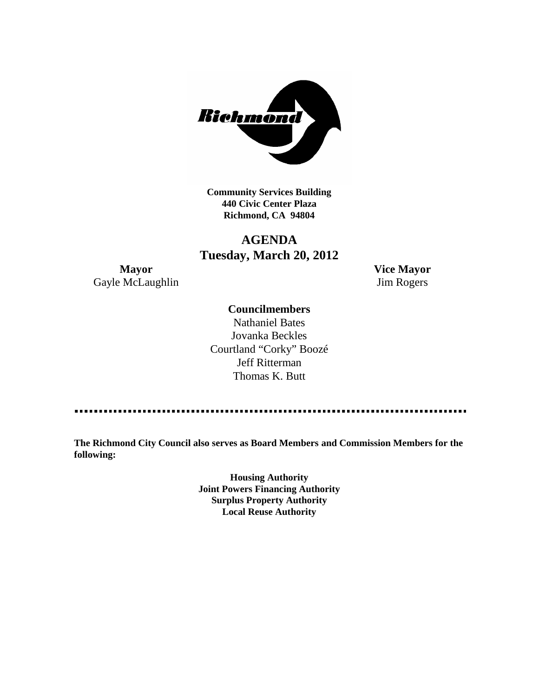

**Community Services Building 440 Civic Center Plaza Richmond, CA 94804**

# **AGENDA Tuesday, March 20, 2012**

**Mayor Vice Mayor** Gayle McLaughlin Jim Rogers

## **Councilmembers**

Nathaniel Bates Jovanka Beckles Courtland "Corky" Boozé Jeff Ritterman Thomas K. Butt

**The Richmond City Council also serves as Board Members and Commission Members for the following:**

> **Housing Authority Joint Powers Financing Authority Surplus Property Authority Local Reuse Authority**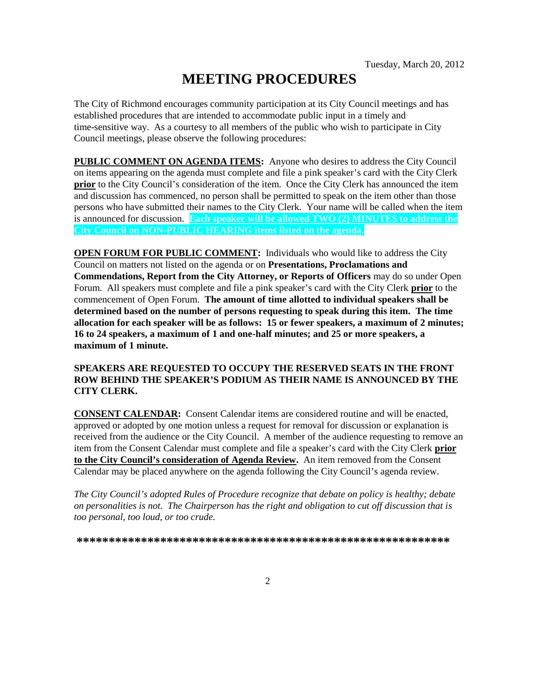# **MEETING PROCEDURES**

The City of Richmond encourages community participation at its City Council meetings and has established procedures that are intended to accommodate public input in a timely and time-sensitive way. As a courtesy to all members of the public who wish to participate in City Council meetings, please observe the following procedures:

**PUBLIC COMMENT ON AGENDA ITEMS:** Anyone who desires to address the City Council on items appearing on the agenda must complete and file a pink speaker's card with the City Clerk **prior** to the City Council's consideration of the item. Once the City Clerk has announced the item and discussion has commenced, no person shall be permitted to speak on the item other than those persons who have submitted their names to the City Clerk. Your name will be called when the item is announced for discussion. **Each speaker will be allowed TWO (2) MINUTES to address the City Council on NON-PUBLIC HEARING items listed on the agenda.**

**OPEN FORUM FOR PUBLIC COMMENT:** Individuals who would like to address the City Council on matters not listed on the agenda or on **Presentations, Proclamations and Commendations, Report from the City Attorney, or Reports of Officers** may do so under Open Forum. All speakers must complete and file a pink speaker's card with the City Clerk **prior** to the commencement of Open Forum. **The amount of time allotted to individual speakers shall be determined based on the number of persons requesting to speak during this item. The time allocation for each speaker will be as follows: 15 or fewer speakers, a maximum of 2 minutes; 16 to 24 speakers, a maximum of 1 and one-half minutes; and 25 or more speakers, a maximum of 1 minute.**

#### **SPEAKERS ARE REQUESTED TO OCCUPY THE RESERVED SEATS IN THE FRONT ROW BEHIND THE SPEAKER'S PODIUM AS THEIR NAME IS ANNOUNCED BY THE CITY CLERK.**

**CONSENT CALENDAR:** Consent Calendar items are considered routine and will be enacted, approved or adopted by one motion unless a request for removal for discussion or explanation is received from the audience or the City Council. A member of the audience requesting to remove an item from the Consent Calendar must complete and file a speaker's card with the City Clerk **prior to the City Council's consideration of Agenda Review.** An item removed from the Consent Calendar may be placed anywhere on the agenda following the City Council's agenda review.

*The City Council's adopted Rules of Procedure recognize that debate on policy is healthy; debate on personalities is not. The Chairperson has the right and obligation to cut off discussion that is too personal, too loud, or too crude.*

**\*\*\*\*\*\*\*\*\*\*\*\*\*\*\*\*\*\*\*\*\*\*\*\*\*\*\*\*\*\*\*\*\*\*\*\*\*\*\*\*\*\*\*\*\*\*\*\*\*\*\*\*\*\*\*\*\*\***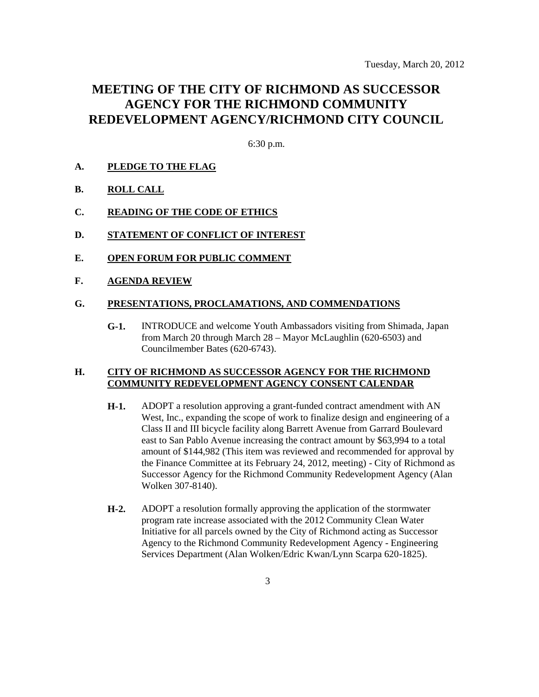# **MEETING OF THE CITY OF RICHMOND AS SUCCESSOR AGENCY FOR THE RICHMOND COMMUNITY REDEVELOPMENT AGENCY/RICHMOND CITY COUNCIL**

6:30 p.m.

#### **A. PLEDGE TO THE FLAG**

- **B. ROLL CALL**
- **C. READING OF THE CODE OF ETHICS**
- **D. STATEMENT OF CONFLICT OF INTEREST**
- **E. OPEN FORUM FOR PUBLIC COMMENT**
- **F. AGENDA REVIEW**

#### **G. PRESENTATIONS, PROCLAMATIONS, AND COMMENDATIONS**

**G-1.** INTRODUCE and welcome Youth Ambassadors visiting from Shimada, Japan from March 20 through March 28 – Mayor McLaughlin (620-6503) and Councilmember Bates (620-6743).

#### **H. CITY OF RICHMOND AS SUCCESSOR AGENCY FOR THE RICHMOND COMMUNITY REDEVELOPMENT AGENCY CONSENT CALENDAR**

- **H-1.** ADOPT a resolution approving a grant-funded contract amendment with AN West, Inc., expanding the scope of work to finalize design and engineering of a Class II and III bicycle facility along Barrett Avenue from Garrard Boulevard east to San Pablo Avenue increasing the contract amount by \$63,994 to a total amount of \$144,982 (This item was reviewed and recommended for approval by the Finance Committee at its February 24, 2012, meeting) - City of Richmond as Successor Agency for the Richmond Community Redevelopment Agency (Alan Wolken 307-8140).
- **H-2.** ADOPT a resolution formally approving the application of the stormwater program rate increase associated with the 2012 Community Clean Water Initiative for all parcels owned by the City of Richmond acting as Successor Agency to the Richmond Community Redevelopment Agency - Engineering Services Department (Alan Wolken/Edric Kwan/Lynn Scarpa 620-1825).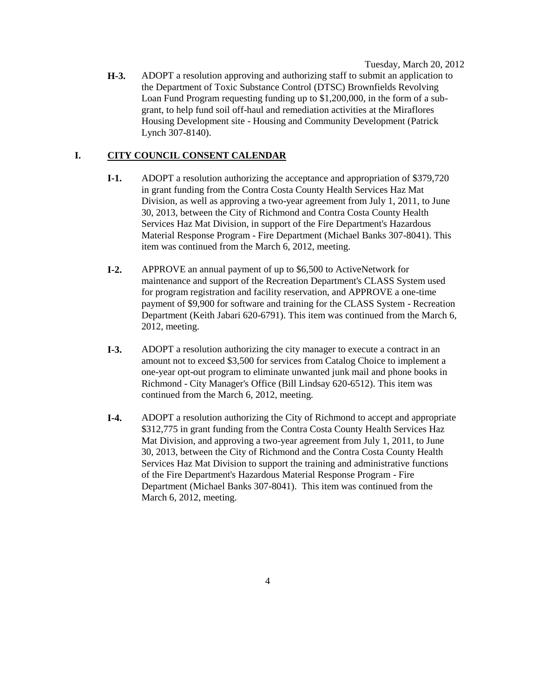Tuesday, March 20, 2012

**H-3.** ADOPT a resolution approving and authorizing staff to submit an application to the Department of Toxic Substance Control (DTSC) Brownfields Revolving Loan Fund Program requesting funding up to \$1,200,000, in the form of a subgrant, to help fund soil off-haul and remediation activities at the Miraflores Housing Development site - Housing and Community Development (Patrick Lynch 307-8140).

### **I. CITY COUNCIL CONSENT CALENDAR**

- **I-1.** ADOPT a resolution authorizing the acceptance and appropriation of \$379,720 in grant funding from the Contra Costa County Health Services Haz Mat Division, as well as approving a two-year agreement from July 1, 2011, to June 30, 2013, between the City of Richmond and Contra Costa County Health Services Haz Mat Division, in support of the Fire Department's Hazardous Material Response Program - Fire Department (Michael Banks 307-8041). This item was continued from the March 6, 2012, meeting.
- **I-2.** APPROVE an annual payment of up to \$6,500 to ActiveNetwork for maintenance and support of the Recreation Department's CLASS System used for program registration and facility reservation, and APPROVE a one-time payment of \$9,900 for software and training for the CLASS System - Recreation Department (Keith Jabari 620-6791). This item was continued from the March 6, 2012, meeting.
- **I-3.** ADOPT a resolution authorizing the city manager to execute a contract in an amount not to exceed \$3,500 for services from Catalog Choice to implement a one-year opt-out program to eliminate unwanted junk mail and phone books in Richmond - City Manager's Office (Bill Lindsay 620-6512). This item was continued from the March 6, 2012, meeting.
- **I-4.** ADOPT a resolution authorizing the City of Richmond to accept and appropriate \$312,775 in grant funding from the Contra Costa County Health Services Haz Mat Division, and approving a two-year agreement from July 1, 2011, to June 30, 2013, between the City of Richmond and the Contra Costa County Health Services Haz Mat Division to support the training and administrative functions of the Fire Department's Hazardous Material Response Program - Fire Department (Michael Banks 307-8041). This item was continued from the March 6, 2012, meeting.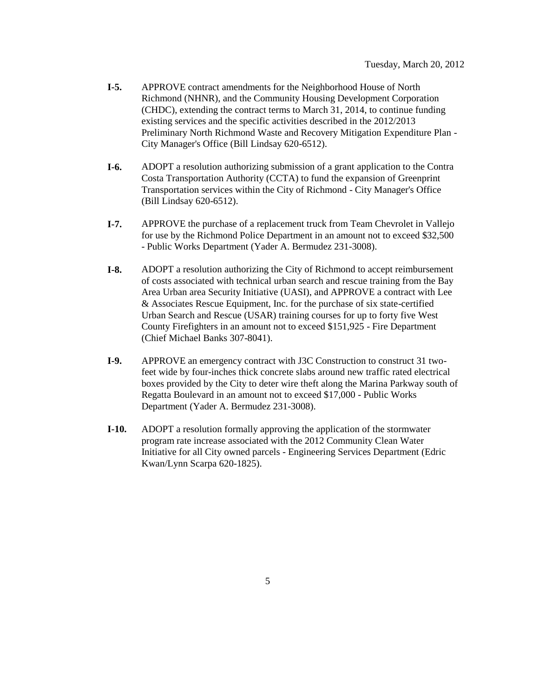- **I-5.** APPROVE contract amendments for the Neighborhood House of North Richmond (NHNR), and the Community Housing Development Corporation (CHDC), extending the contract terms to March 31, 2014, to continue funding existing services and the specific activities described in the 2012/2013 Preliminary North Richmond Waste and Recovery Mitigation Expenditure Plan - City Manager's Office (Bill Lindsay 620-6512).
- **I-6.** ADOPT a resolution authorizing submission of a grant application to the Contra Costa Transportation Authority (CCTA) to fund the expansion of Greenprint Transportation services within the City of Richmond - City Manager's Office (Bill Lindsay 620-6512).
- **I-7.** APPROVE the purchase of a replacement truck from Team Chevrolet in Vallejo for use by the Richmond Police Department in an amount not to exceed \$32,500 - Public Works Department (Yader A. Bermudez 231-3008).
- **I-8.** ADOPT a resolution authorizing the City of Richmond to accept reimbursement of costs associated with technical urban search and rescue training from the Bay Area Urban area Security Initiative (UASI), and APPROVE a contract with Lee & Associates Rescue Equipment, Inc. for the purchase of six state-certified Urban Search and Rescue (USAR) training courses for up to forty five West County Firefighters in an amount not to exceed \$151,925 - Fire Department (Chief Michael Banks 307-8041).
- **I-9.** APPROVE an emergency contract with J3C Construction to construct 31 twofeet wide by four-inches thick concrete slabs around new traffic rated electrical boxes provided by the City to deter wire theft along the Marina Parkway south of Regatta Boulevard in an amount not to exceed \$17,000 - Public Works Department (Yader A. Bermudez 231-3008).
- **I-10.** ADOPT a resolution formally approving the application of the stormwater program rate increase associated with the 2012 Community Clean Water Initiative for all City owned parcels - Engineering Services Department (Edric Kwan/Lynn Scarpa 620-1825).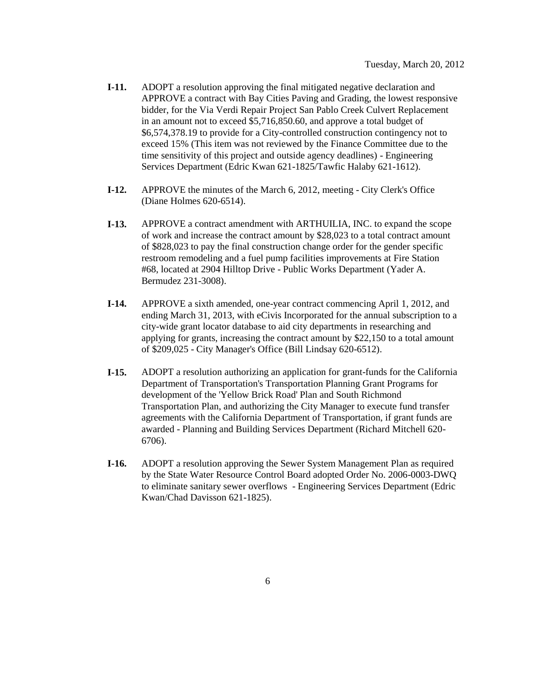- **I-11.** ADOPT a resolution approving the final mitigated negative declaration and APPROVE a contract with Bay Cities Paving and Grading, the lowest responsive bidder, for the Via Verdi Repair Project San Pablo Creek Culvert Replacement in an amount not to exceed \$5,716,850.60, and approve a total budget of \$6,574,378.19 to provide for a City-controlled construction contingency not to exceed 15% (This item was not reviewed by the Finance Committee due to the time sensitivity of this project and outside agency deadlines) - Engineering Services Department (Edric Kwan 621-1825/Tawfic Halaby 621-1612).
- **I-12.** APPROVE the minutes of the March 6, 2012, meeting City Clerk's Office (Diane Holmes 620-6514).
- **I-13.** APPROVE a contract amendment with ARTHUILIA, INC. to expand the scope of work and increase the contract amount by \$28,023 to a total contract amount of \$828,023 to pay the final construction change order for the gender specific restroom remodeling and a fuel pump facilities improvements at Fire Station #68, located at 2904 Hilltop Drive - Public Works Department (Yader A. Bermudez 231-3008).
- **I-14.** APPROVE a sixth amended, one-year contract commencing April 1, 2012, and ending March 31, 2013, with eCivis Incorporated for the annual subscription to a city-wide grant locator database to aid city departments in researching and applying for grants, increasing the contract amount by \$22,150 to a total amount of \$209,025 - City Manager's Office (Bill Lindsay 620-6512).
- **I-15.** ADOPT a resolution authorizing an application for grant-funds for the California Department of Transportation's Transportation Planning Grant Programs for development of the 'Yellow Brick Road' Plan and South Richmond Transportation Plan, and authorizing the City Manager to execute fund transfer agreements with the California Department of Transportation, if grant funds are awarded - Planning and Building Services Department (Richard Mitchell 620- 6706).
- **I-16.** ADOPT a resolution approving the Sewer System Management Plan as required by the State Water Resource Control Board adopted Order No. 2006-0003-DWQ to eliminate sanitary sewer overflows - Engineering Services Department (Edric Kwan/Chad Davisson 621-1825).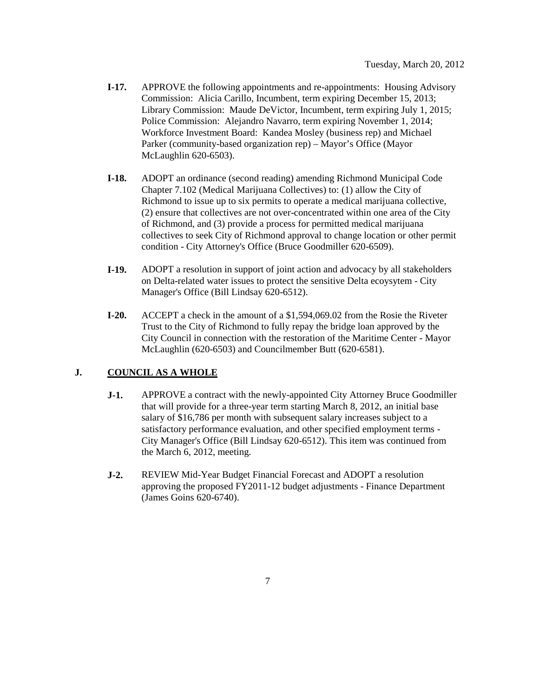- **I-17.** APPROVE the following appointments and re-appointments: Housing Advisory Commission: Alicia Carillo, Incumbent, term expiring December 15, 2013; Library Commission: Maude DeVictor, Incumbent, term expiring July 1, 2015; Police Commission: Alejandro Navarro, term expiring November 1, 2014; Workforce Investment Board: Kandea Mosley (business rep) and Michael Parker (community-based organization rep) – Mayor's Office (Mayor McLaughlin 620-6503).
- **I-18.** ADOPT an ordinance (second reading) amending Richmond Municipal Code Chapter 7.102 (Medical Marijuana Collectives) to: (1) allow the City of Richmond to issue up to six permits to operate a medical marijuana collective, (2) ensure that collectives are not over-concentrated within one area of the City of Richmond, and (3) provide a process for permitted medical marijuana collectives to seek City of Richmond approval to change location or other permit condition - City Attorney's Office (Bruce Goodmiller 620-6509).
- **I-19.** ADOPT a resolution in support of joint action and advocacy by all stakeholders on Delta-related water issues to protect the sensitive Delta ecoysytem - City Manager's Office (Bill Lindsay 620-6512).
- **I-20.** ACCEPT a check in the amount of a \$1,594,069.02 from the Rosie the Riveter Trust to the City of Richmond to fully repay the bridge loan approved by the City Council in connection with the restoration of the Maritime Center - Mayor McLaughlin (620-6503) and Councilmember Butt (620-6581).

## **J. COUNCIL AS A WHOLE**

- **J-1.** APPROVE a contract with the newly-appointed City Attorney Bruce Goodmiller that will provide for a three-year term starting March 8, 2012, an initial base salary of \$16,786 per month with subsequent salary increases subject to a satisfactory performance evaluation, and other specified employment terms - City Manager's Office (Bill Lindsay 620-6512). This item was continued from the March 6, 2012, meeting.
- **J-2.** REVIEW Mid-Year Budget Financial Forecast and ADOPT a resolution approving the proposed FY2011-12 budget adjustments - Finance Department (James Goins 620-6740).